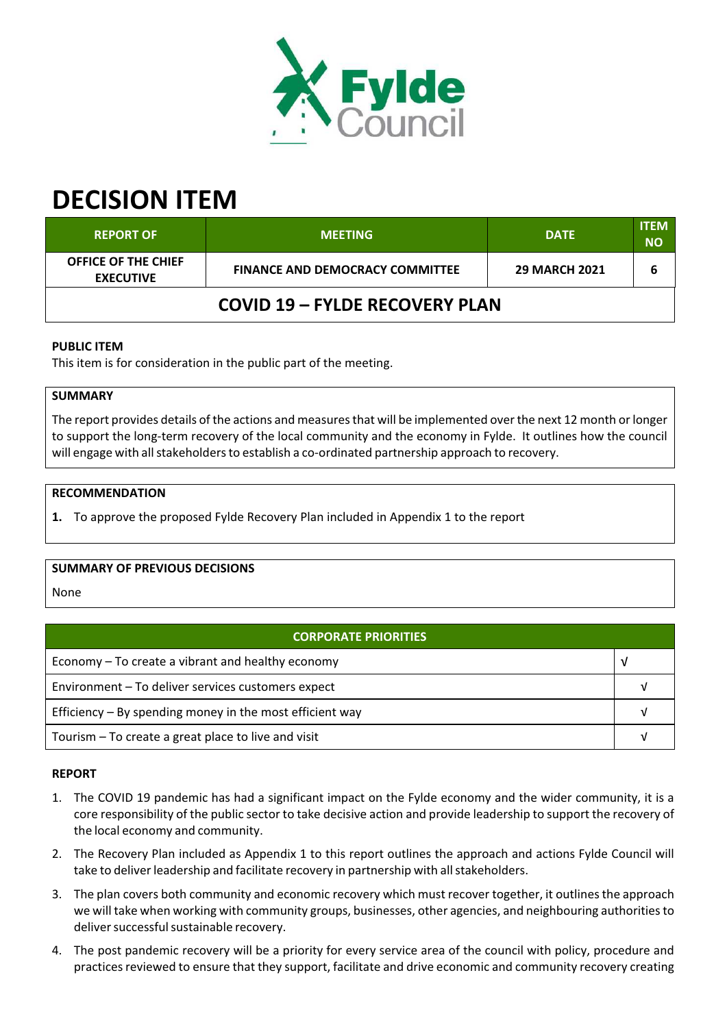

# **DECISION ITEM**

| <b>REPORT OF</b>                               | <b>MEETING</b>                         | <b>DATE</b>          | <b>ITEM</b><br><b>NO</b> |  |  |
|------------------------------------------------|----------------------------------------|----------------------|--------------------------|--|--|
| <b>OFFICE OF THE CHIEF</b><br><b>EXECUTIVE</b> | <b>FINANCE AND DEMOCRACY COMMITTEE</b> | <b>29 MARCH 2021</b> |                          |  |  |
| <b>COVID 19 - FYLDE RECOVERY PLAN</b>          |                                        |                      |                          |  |  |

# **PUBLIC ITEM**

This item is for consideration in the public part of the meeting.

# **SUMMARY**

The report provides details of the actions and measures that will be implemented over the next 12 month or longer to support the long‐term recovery of the local community and the economy in Fylde. It outlines how the council will engage with all stakeholders to establish a co-ordinated partnership approach to recovery.

## **RECOMMENDATION**

**1.** To approve the proposed Fylde Recovery Plan included in Appendix 1 to the report

### **SUMMARY OF PREVIOUS DECISIONS**

None

| <b>CORPORATE PRIORITIES</b>                                |  |  |
|------------------------------------------------------------|--|--|
| Economy – To create a vibrant and healthy economy          |  |  |
| Environment - To deliver services customers expect         |  |  |
| Efficiency $-$ By spending money in the most efficient way |  |  |
| Tourism – To create a great place to live and visit        |  |  |

### **REPORT**

- 1. The COVID 19 pandemic has had a significant impact on the Fylde economy and the wider community, it is a core responsibility of the public sector to take decisive action and provide leadership to support the recovery of the local economy and community.
- 2. The Recovery Plan included as Appendix 1 to this report outlines the approach and actions Fylde Council will take to deliver leadership and facilitate recovery in partnership with all stakeholders.
- 3. The plan covers both community and economic recovery which must recover together, it outlines the approach we will take when working with community groups, businesses, other agencies, and neighbouring authoritiesto deliver successful sustainable recovery.
- 4. The post pandemic recovery will be a priority for every service area of the council with policy, procedure and practices reviewed to ensure that they support, facilitate and drive economic and community recovery creating